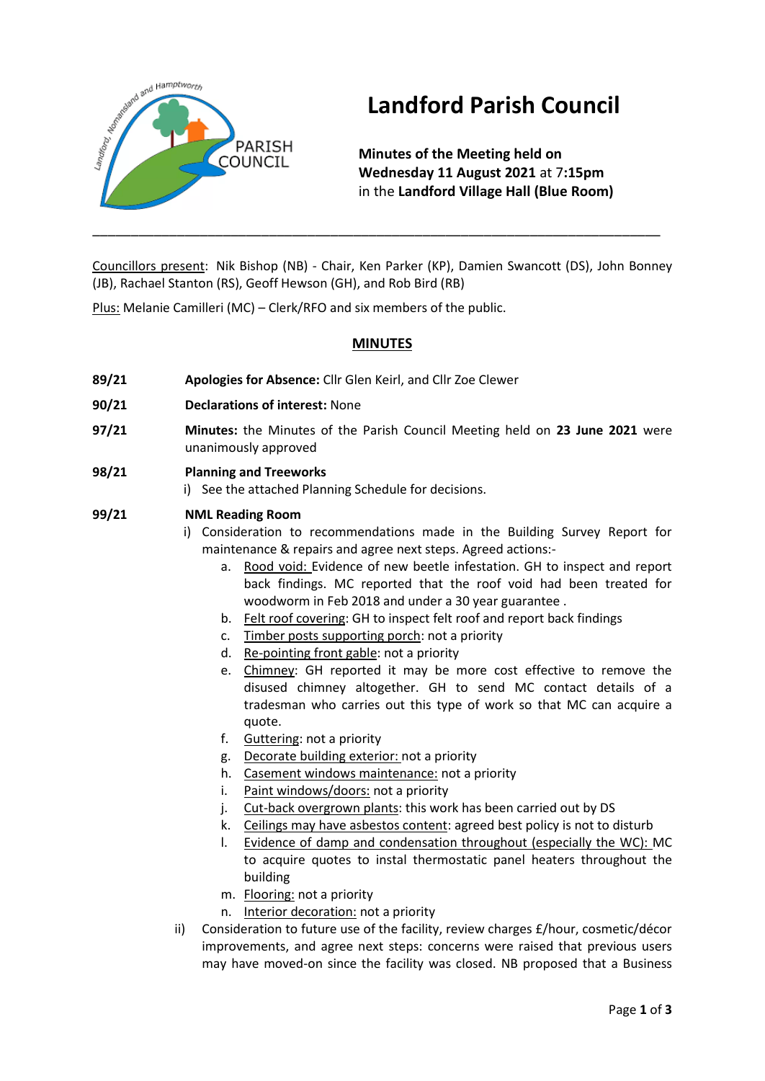

# **Landford Parish Council**

**Minutes of the Meeting held on Wednesday 11 August 2021** at 7**:15pm** in the **Landford Village Hall (Blue Room)**

Councillors present: Nik Bishop (NB) - Chair, Ken Parker (KP), Damien Swancott (DS), John Bonney (JB), Rachael Stanton (RS), Geoff Hewson (GH), and Rob Bird (RB)

\_\_\_\_\_\_\_\_\_\_\_\_\_\_\_\_\_\_\_\_\_\_\_\_\_\_\_\_\_\_\_\_\_\_\_\_\_\_\_\_\_\_\_\_\_\_\_\_\_\_\_\_\_\_\_\_\_\_\_\_\_\_\_\_\_\_\_\_\_\_\_\_\_\_

Plus: Melanie Camilleri (MC) – Clerk/RFO and six members of the public.

# **MINUTES**

- **89/21 Apologies for Absence:** Cllr Glen Keirl, and Cllr Zoe Clewer
- **90/21 Declarations of interest:** None
- **97/21 Minutes:** the Minutes of the Parish Council Meeting held on **23 June 2021** were unanimously approved
- **98/21 Planning and Treeworks**

i) See the attached Planning Schedule for decisions.

# **99/21 NML Reading Room**

- i) Consideration to recommendations made in the Building Survey Report for maintenance & repairs and agree next steps. Agreed actions:
	- a. Rood void: Evidence of new beetle infestation. GH to inspect and report back findings. MC reported that the roof void had been treated for woodworm in Feb 2018 and under a 30 year guarantee .
	- b. Felt roof covering: GH to inspect felt roof and report back findings
	- c. Timber posts supporting porch: not a priority
	- d. Re-pointing front gable: not a priority
	- e. Chimney: GH reported it may be more cost effective to remove the disused chimney altogether. GH to send MC contact details of a tradesman who carries out this type of work so that MC can acquire a quote.
	- f. Guttering: not a priority
	- g. Decorate building exterior: not a priority
	- h. Casement windows maintenance: not a priority
	- i. Paint windows/doors: not a priority
	- j. Cut-back overgrown plants: this work has been carried out by DS
	- k. Ceilings may have asbestos content: agreed best policy is not to disturb
	- l. Evidence of damp and condensation throughout (especially the WC): MC to acquire quotes to instal thermostatic panel heaters throughout the building
	- m. Flooring: not a priority
	- n. Interior decoration: not a priority
- ii) Consideration to future use of the facility, review charges £/hour, cosmetic/décor improvements, and agree next steps: concerns were raised that previous users may have moved-on since the facility was closed. NB proposed that a Business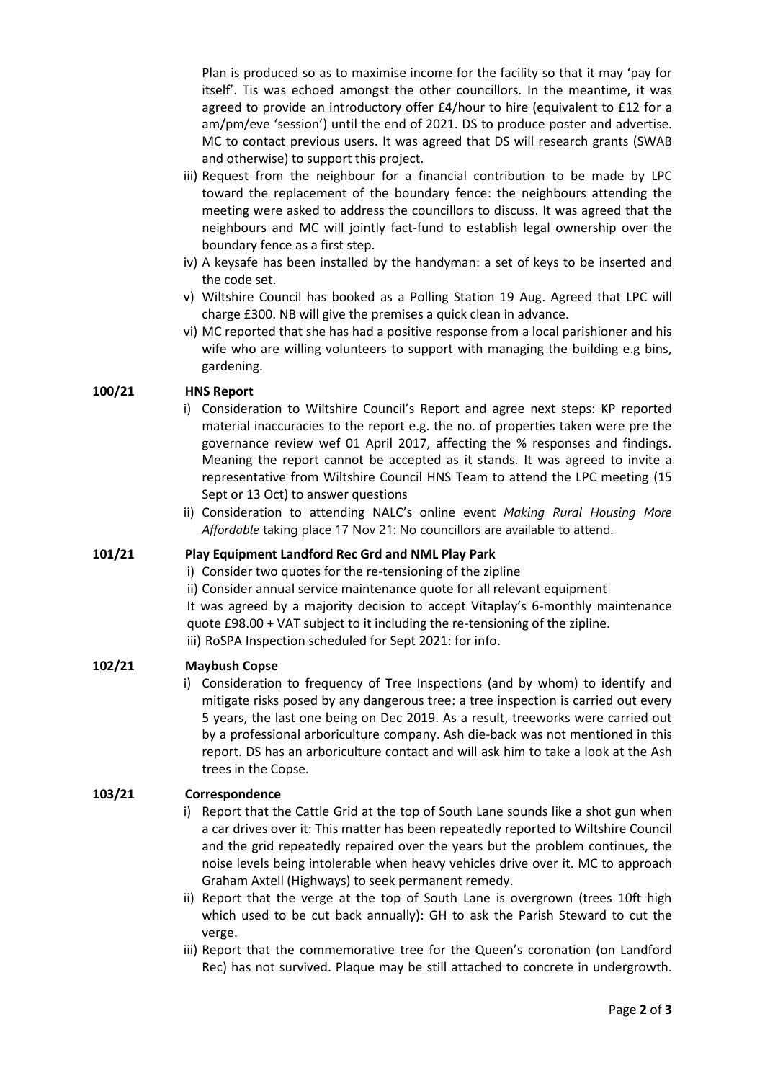Plan is produced so as to maximise income for the facility so that it may 'pay for itself'. Tis was echoed amongst the other councillors. In the meantime, it was agreed to provide an introductory offer £4/hour to hire (equivalent to £12 for a am/pm/eve 'session') until the end of 2021. DS to produce poster and advertise. MC to contact previous users. It was agreed that DS will research grants (SWAB and otherwise) to support this project.

- iii) Request from the neighbour for a financial contribution to be made by LPC toward the replacement of the boundary fence: the neighbours attending the meeting were asked to address the councillors to discuss. It was agreed that the neighbours and MC will jointly fact-fund to establish legal ownership over the boundary fence as a first step.
- iv) A keysafe has been installed by the handyman: a set of keys to be inserted and the code set.
- v) Wiltshire Council has booked as a Polling Station 19 Aug. Agreed that LPC will charge £300. NB will give the premises a quick clean in advance.
- vi) MC reported that she has had a positive response from a local parishioner and his wife who are willing volunteers to support with managing the building e.g bins, gardening.

# **100/21 HNS Report**

- i) Consideration to Wiltshire Council's Report and agree next steps: KP reported material inaccuracies to the report e.g. the no. of properties taken were pre the governance review wef 01 April 2017, affecting the % responses and findings. Meaning the report cannot be accepted as it stands. It was agreed to invite a representative from Wiltshire Council HNS Team to attend the LPC meeting (15 Sept or 13 Oct) to answer questions
- ii) Consideration to attending NALC's online event *Making Rural Housing More Affordable* taking place 17 Nov 21: No councillors are available to attend.

#### **101/21 Play Equipment Landford Rec Grd and NML Play Park**

- i) Consider two quotes for the re-tensioning of the zipline
- ii) Consider annual service maintenance quote for all relevant equipment

It was agreed by a majority decision to accept Vitaplay's 6-monthly maintenance quote £98.00 + VAT subject to it including the re-tensioning of the zipline. iii) RoSPA Inspection scheduled for Sept 2021: for info.

#### **102/21 Maybush Copse**

i) Consideration to frequency of Tree Inspections (and by whom) to identify and mitigate risks posed by any dangerous tree: a tree inspection is carried out every 5 years, the last one being on Dec 2019. As a result, treeworks were carried out by a professional arboriculture company. Ash die-back was not mentioned in this report. DS has an arboriculture contact and will ask him to take a look at the Ash trees in the Copse.

#### **103/21 Correspondence**

- i) Report that the Cattle Grid at the top of South Lane sounds like a shot gun when a car drives over it: This matter has been repeatedly reported to Wiltshire Council and the grid repeatedly repaired over the years but the problem continues, the noise levels being intolerable when heavy vehicles drive over it. MC to approach Graham Axtell (Highways) to seek permanent remedy.
- ii) Report that the verge at the top of South Lane is overgrown (trees 10ft high which used to be cut back annually): GH to ask the Parish Steward to cut the verge.
- iii) Report that the commemorative tree for the Queen's coronation (on Landford Rec) has not survived. Plaque may be still attached to concrete in undergrowth.